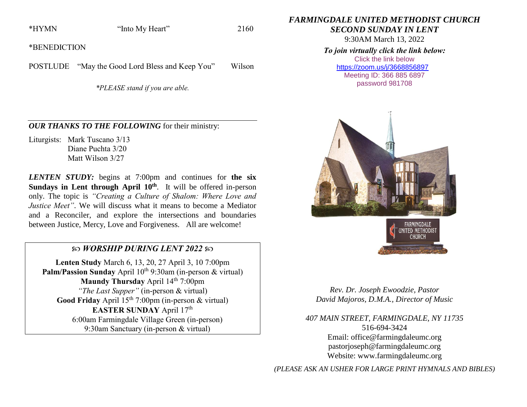\*HYMN "Into My Heart" 2160

\*BENEDICTION

POSTLUDE "May the Good Lord Bless and Keep You" Wilson

*\*PLEASE stand if you are able.*

## *OUR THANKS TO THE FOLLOWING* for their ministry:

Liturgists: Mark Tuscano 3/13 Diane Puchta 3/20 Matt Wilson 3/27

*LENTEN STUDY:* begins at 7:00pm and continues for **the six**  Sundays in Lent through April 10<sup>th</sup>. It will be offered in-person only. The topic is *"Creating a Culture of Shalom: Where Love and Justice Meet*". We will discuss what it means to become a Mediator and a Reconciler, and explore the intersections and boundaries between Justice, Mercy, Love and Forgiveness. All are welcome!

## *WORSHIP DURING LENT 2022*

**Lenten Study** March 6, 13, 20, 27 April 3, 10 7:00pm **Palm/Passion Sunday** April 10<sup>th</sup> 9:30am (in-person & virtual) **Maundy Thursday** April 14<sup>th</sup> 7:00pm *"The Last Supper"* (in-person & virtual) Good Friday April 15<sup>th</sup> 7:00pm (in-person & virtual) **EASTER SUNDAY** April 17<sup>th</sup> 6:00am Farmingdale Village Green (in-person) 9:30am Sanctuary (in-person & virtual)

*FARMINGDALE UNITED METHODIST CHURCH*

*SECOND SUNDAY IN LENT*

9:30AM March 13, 2022

## *To join virtually click the link below:*

Click the link below <https://zoom.us/j/3668856897> Meeting ID: 366 885 6897 password 981708





*Rev. Dr. Joseph Ewoodzie, Pastor David Majoros, D.M.A., Director of Music*

*407 MAIN STREET, FARMINGDALE, NY 11735* 516-694-3424 Email: [office@farmingdaleumc.org](mailto:office@farmingdaleumc.org) pastorjoseph@farmingdaleumc.org Website: www.farmingdaleumc.org

*(PLEASE ASK AN USHER FOR LARGE PRINT HYMNALS AND BIBLES)*